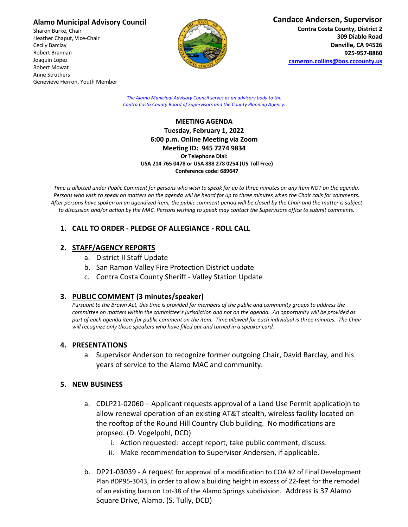### **Alamo Municipal Advisory Council**

Sharon Burke, Chair Heather Chaput, Vice-Chair Cecily Barclay Robert Brannan Joaquin Lopez Robert Mowat Anne Struthers Genevieve Herron, Youth Member



*The Alamo Municipal Advisory Council serves as an advisory body to the Contra Costa County Board of Supervisors and the County Planning Agency.*

### **MEETING AGENDA Tuesday, February 1, 2022 6:00 p.m. Online Meeting via Zoom Meeting ID: 945 7274 9834 Or Telephone Dial: USA 214 765 0478 or USA 888 278 0254 (US Toll Free) Conference code: 689647**

*Time is allotted under Public Comment for persons who wish to speak for up to three minutes on any item NOT on the agenda. Persons who wish to speak on matters on the agenda will be heard for up to three minutes when the Chair calls for comments. After persons have spoken on an agendized item, the public comment period will be closed by the Chair and the matter is subject to discussion and/or action by the MAC. Persons wishing to speak may contact the Supervisors office to submit comments.*

# **1. CALL TO ORDER - PLEDGE OF ALLEGIANCE - ROLL CALL**

## **2. STAFF/AGENCY REPORTS**

- a. District II Staff Update
- b. San Ramon Valley Fire Protection District update
- c. Contra Costa County Sheriff Valley Station Update

## **3. PUBLIC COMMENT (3 minutes/speaker)**

*Pursuant to the Brown Act, this time is provided for members of the public and community groups to address the committee on matters within the committee's jurisdiction and not on the agenda. An opportunity will be provided as part of each agenda item for public comment on the item. Time allowed for each individual is three minutes. The Chair will recognize only those speakers who have filled out and turned in a speaker card.*

### **4. PRESENTATIONS**

a. Supervisor Anderson to recognize former outgoing Chair, David Barclay, and his years of service to the Alamo MAC and community.

## **5. NEW BUSINESS**

- a. CDLP21-02060 Applicant requests approval of a Land Use Permit applicatiojn to allow renewal operation of an existing AT&T stealth, wireless facility located on the rooftop of the Round Hill Country Club building. No modifications are propsed. (D. Vogelpohl, DCD)
	- i. Action requested: accept report, take public comment, discuss.
	- ii. Make recommendation to Supervisor Andersen, if applicable.
- b. DP21-03039 A request for approval of a modification to COA #2 of Final Development Plan #DP95-3043, in order to allow a building height in excess of 22-feet for the remodel of an existing barn on Lot-38 of the Alamo Springs subdivision. Address is 37 Alamo Square Drive, Alamo. (S. Tully, DCD)